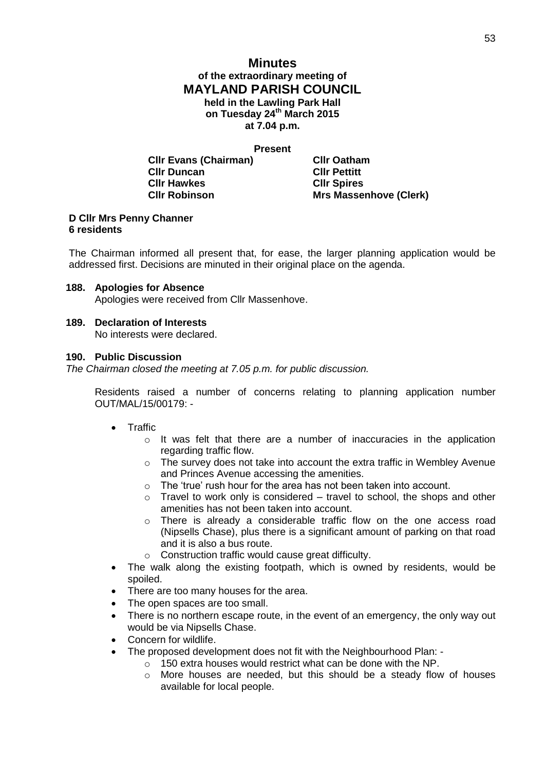# **Minutes of the extraordinary meeting of MAYLAND PARISH COUNCIL held in the Lawling Park Hall on Tuesday 24th March 2015 at 7.04 p.m.**

**Present**

**Cllr Evans (Chairman) Cllr Oatham Cllr Duncan Cllr Pettitt Cllr Hawkes Cllr Spires Cllr Robinson Mrs Massenhove (Clerk)**

### **D Cllr Mrs Penny Channer 6 residents**

The Chairman informed all present that, for ease, the larger planning application would be addressed first. Decisions are minuted in their original place on the agenda.

# **188. Apologies for Absence**

Apologies were received from Cllr Massenhove.

### **189. Declaration of Interests**

No interests were declared.

### **190. Public Discussion**

*The Chairman closed the meeting at 7.05 p.m. for public discussion.*

Residents raised a number of concerns relating to planning application number OUT/MAL/15/00179: -

- **•** Traffic
	- $\circ$  It was felt that there are a number of inaccuracies in the application regarding traffic flow.
	- $\circ$  The survey does not take into account the extra traffic in Wembley Avenue and Princes Avenue accessing the amenities.
	- o The 'true' rush hour for the area has not been taken into account.
	- $\circ$  Travel to work only is considered travel to school, the shops and other amenities has not been taken into account.
	- $\circ$  There is already a considerable traffic flow on the one access road (Nipsells Chase), plus there is a significant amount of parking on that road and it is also a bus route.
	- o Construction traffic would cause great difficulty.
- The walk along the existing footpath, which is owned by residents, would be spoiled.
- There are too many houses for the area.
- The open spaces are too small.
- There is no northern escape route, in the event of an emergency, the only way out would be via Nipsells Chase.
- Concern for wildlife.
- The proposed development does not fit with the Neighbourhood Plan:
	- o 150 extra houses would restrict what can be done with the NP.
	- o More houses are needed, but this should be a steady flow of houses available for local people.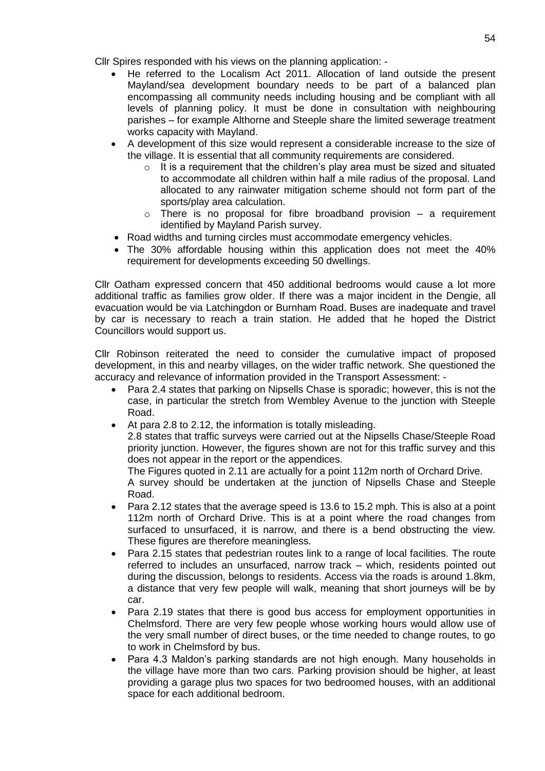Cllr Spires responded with his views on the planning application: -

- He referred to the Localism Act 2011. Allocation of land outside the present Mayland/sea development boundary needs to be part of a balanced plan encompassing all community needs including housing and be compliant with all levels of planning policy. It must be done in consultation with neighbouring parishes – for example Althorne and Steeple share the limited sewerage treatment works capacity with Mayland.
- A development of this size would represent a considerable increase to the size of the village. It is essential that all community requirements are considered.
	- $\circ$  It is a requirement that the children's play area must be sized and situated to accommodate all children within half a mile radius of the proposal. Land allocated to any rainwater mitigation scheme should not form part of the sports/play area calculation.
	- $\circ$  There is no proposal for fibre broadband provision a requirement identified by Mayland Parish survey.
	- Road widths and turning circles must accommodate emergency vehicles.
- The 30% affordable housing within this application does not meet the 40% requirement for developments exceeding 50 dwellings.

Cllr Oatham expressed concern that 450 additional bedrooms would cause a lot more additional traffic as families grow older. If there was a major incident in the Dengie, all evacuation would be via Latchingdon or Burnham Road. Buses are inadequate and travel by car is necessary to reach a train station. He added that he hoped the District Councillors would support us.

Cllr Robinson reiterated the need to consider the cumulative impact of proposed development, in this and nearby villages, on the wider traffic network. She questioned the accuracy and relevance of information provided in the Transport Assessment: -

- Para 2.4 states that parking on Nipsells Chase is sporadic; however, this is not the case, in particular the stretch from Wembley Avenue to the junction with Steeple Road.
- At para 2.8 to 2.12, the information is totally misleading.

2.8 states that traffic surveys were carried out at the Nipsells Chase/Steeple Road priority junction. However, the figures shown are not for this traffic survey and this does not appear in the report or the appendices.

The Figures quoted in 2.11 are actually for a point 112m north of Orchard Drive. A survey should be undertaken at the junction of Nipsells Chase and Steeple Road.

- Para 2.12 states that the average speed is 13.6 to 15.2 mph. This is also at a point 112m north of Orchard Drive. This is at a point where the road changes from surfaced to unsurfaced, it is narrow, and there is a bend obstructing the view. These figures are therefore meaningless.
- Para 2.15 states that pedestrian routes link to a range of local facilities. The route referred to includes an unsurfaced, narrow track – which, residents pointed out during the discussion, belongs to residents. Access via the roads is around 1.8km, a distance that very few people will walk, meaning that short journeys will be by car.
- Para 2.19 states that there is good bus access for employment opportunities in Chelmsford. There are very few people whose working hours would allow use of the very small number of direct buses, or the time needed to change routes, to go to work in Chelmsford by bus.
- Para 4.3 Maldon's parking standards are not high enough. Many households in the village have more than two cars. Parking provision should be higher, at least providing a garage plus two spaces for two bedroomed houses, with an additional space for each additional bedroom.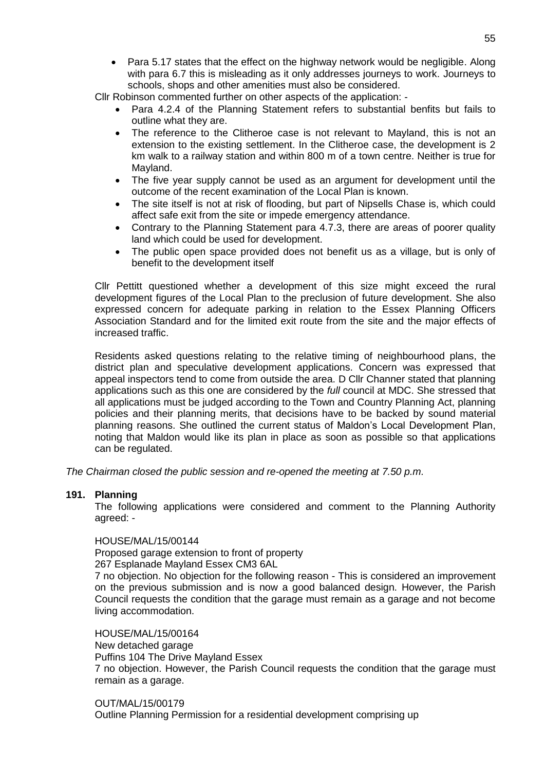Para 5.17 states that the effect on the highway network would be negligible. Along with para 6.7 this is misleading as it only addresses journeys to work. Journeys to schools, shops and other amenities must also be considered.

Cllr Robinson commented further on other aspects of the application: -

- Para 4.2.4 of the Planning Statement refers to substantial benfits but fails to outline what they are.
- The reference to the Clitheroe case is not relevant to Mayland, this is not an extension to the existing settlement. In the Clitheroe case, the development is 2 km walk to a railway station and within 800 m of a town centre. Neither is true for Mayland.
- The five year supply cannot be used as an argument for development until the outcome of the recent examination of the Local Plan is known.
- The site itself is not at risk of flooding, but part of Nipsells Chase is, which could affect safe exit from the site or impede emergency attendance.
- Contrary to the Planning Statement para 4.7.3, there are areas of poorer quality land which could be used for development.
- The public open space provided does not benefit us as a village, but is only of benefit to the development itself

Cllr Pettitt questioned whether a development of this size might exceed the rural development figures of the Local Plan to the preclusion of future development. She also expressed concern for adequate parking in relation to the Essex Planning Officers Association Standard and for the limited exit route from the site and the major effects of increased traffic.

Residents asked questions relating to the relative timing of neighbourhood plans, the district plan and speculative development applications. Concern was expressed that appeal inspectors tend to come from outside the area. D Cllr Channer stated that planning applications such as this one are considered by the *full* council at MDC. She stressed that all applications must be judged according to the Town and Country Planning Act, planning policies and their planning merits, that decisions have to be backed by sound material planning reasons. She outlined the current status of Maldon's Local Development Plan, noting that Maldon would like its plan in place as soon as possible so that applications can be regulated.

*The Chairman closed the public session and re-opened the meeting at 7.50 p.m.*

#### **191. Planning**

The following applications were considered and comment to the Planning Authority agreed: -

#### HOUSE/MAL/15/00144

Proposed garage extension to front of property

267 Esplanade Mayland Essex CM3 6AL

7 no objection. No objection for the following reason - This is considered an improvement on the previous submission and is now a good balanced design. However, the Parish Council requests the condition that the garage must remain as a garage and not become living accommodation.

HOUSE/MAL/15/00164 New detached garage Puffins 104 The Drive Mayland Essex 7 no objection. However, the Parish Council requests the condition that the garage must remain as a garage.

OUT/MAL/15/00179 Outline Planning Permission for a residential development comprising up